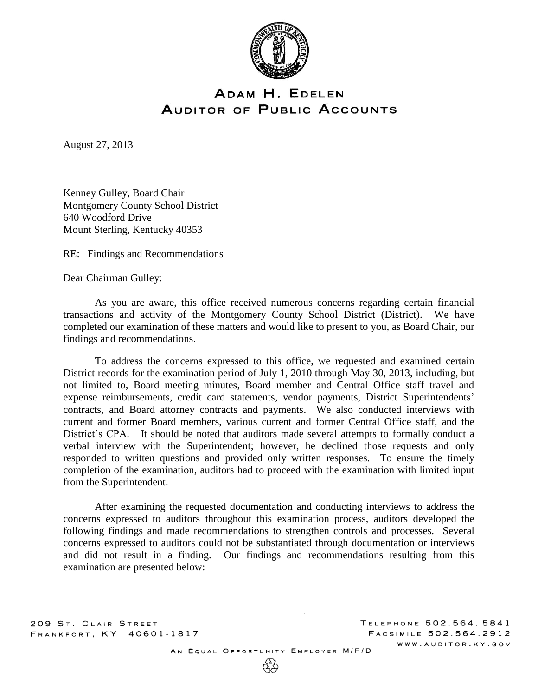

# ADAM H. EDELEN **AUDITOR OF PUBLIC ACCOUNTS**

August 27, 2013

Kenney Gulley, Board Chair Montgomery County School District 640 Woodford Drive Mount Sterling, Kentucky 40353

RE: Findings and Recommendations

Dear Chairman Gulley:

As you are aware, this office received numerous concerns regarding certain financial transactions and activity of the Montgomery County School District (District). We have completed our examination of these matters and would like to present to you, as Board Chair, our findings and recommendations.

To address the concerns expressed to this office, we requested and examined certain District records for the examination period of July 1, 2010 through May 30, 2013, including, but not limited to, Board meeting minutes, Board member and Central Office staff travel and expense reimbursements, credit card statements, vendor payments, District Superintendents' contracts, and Board attorney contracts and payments. We also conducted interviews with current and former Board members, various current and former Central Office staff, and the District's CPA. It should be noted that auditors made several attempts to formally conduct a verbal interview with the Superintendent; however, he declined those requests and only responded to written questions and provided only written responses. To ensure the timely completion of the examination, auditors had to proceed with the examination with limited input from the Superintendent.

After examining the requested documentation and conducting interviews to address the concerns expressed to auditors throughout this examination process, auditors developed the following findings and made recommendations to strengthen controls and processes. Several concerns expressed to auditors could not be substantiated through documentation or interviews and did not result in a finding. Our findings and recommendations resulting from this examination are presented below:

209 ST. CLAIR STREET FRANKFORT, KY 40601-1817

AN EQUAL OPPORTUNITY EMPLOYER M/F/D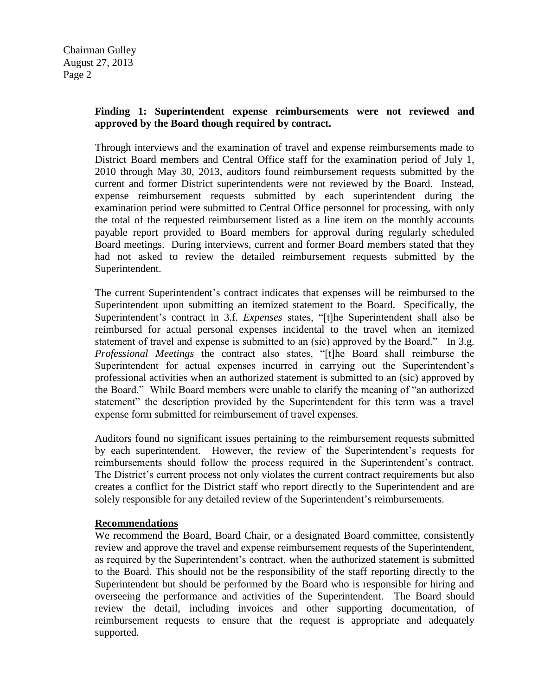# **Finding 1: Superintendent expense reimbursements were not reviewed and approved by the Board though required by contract.**

Through interviews and the examination of travel and expense reimbursements made to District Board members and Central Office staff for the examination period of July 1, 2010 through May 30, 2013, auditors found reimbursement requests submitted by the current and former District superintendents were not reviewed by the Board. Instead, expense reimbursement requests submitted by each superintendent during the examination period were submitted to Central Office personnel for processing, with only the total of the requested reimbursement listed as a line item on the monthly accounts payable report provided to Board members for approval during regularly scheduled Board meetings. During interviews, current and former Board members stated that they had not asked to review the detailed reimbursement requests submitted by the Superintendent.

The current Superintendent's contract indicates that expenses will be reimbursed to the Superintendent upon submitting an itemized statement to the Board. Specifically, the Superintendent's contract in 3.f. *Expenses* states, "[t]he Superintendent shall also be reimbursed for actual personal expenses incidental to the travel when an itemized statement of travel and expense is submitted to an (sic) approved by the Board." In 3.g. *Professional Meetings* the contract also states, "[t]he Board shall reimburse the Superintendent for actual expenses incurred in carrying out the Superintendent's professional activities when an authorized statement is submitted to an (sic) approved by the Board." While Board members were unable to clarify the meaning of "an authorized statement" the description provided by the Superintendent for this term was a travel expense form submitted for reimbursement of travel expenses.

Auditors found no significant issues pertaining to the reimbursement requests submitted by each superintendent. However, the review of the Superintendent's requests for reimbursements should follow the process required in the Superintendent's contract. The District's current process not only violates the current contract requirements but also creates a conflict for the District staff who report directly to the Superintendent and are solely responsible for any detailed review of the Superintendent's reimbursements.

#### **Recommendations**

We recommend the Board, Board Chair, or a designated Board committee, consistently review and approve the travel and expense reimbursement requests of the Superintendent, as required by the Superintendent's contract, when the authorized statement is submitted to the Board. This should not be the responsibility of the staff reporting directly to the Superintendent but should be performed by the Board who is responsible for hiring and overseeing the performance and activities of the Superintendent. The Board should review the detail, including invoices and other supporting documentation, of reimbursement requests to ensure that the request is appropriate and adequately supported.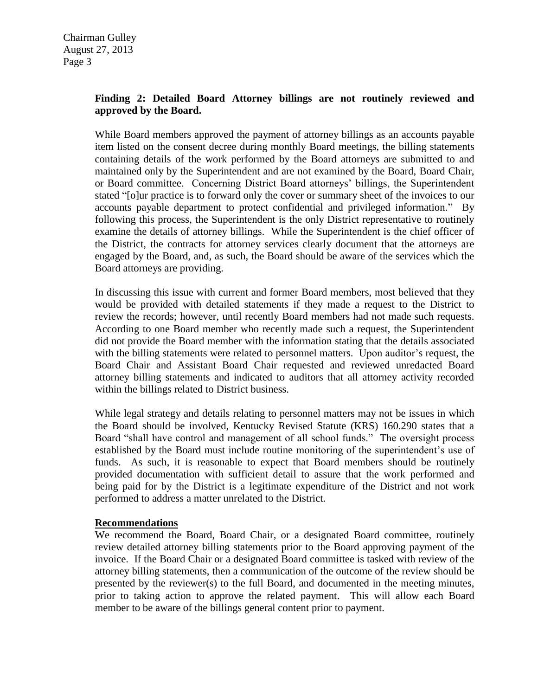# **Finding 2: Detailed Board Attorney billings are not routinely reviewed and approved by the Board.**

While Board members approved the payment of attorney billings as an accounts payable item listed on the consent decree during monthly Board meetings, the billing statements containing details of the work performed by the Board attorneys are submitted to and maintained only by the Superintendent and are not examined by the Board, Board Chair, or Board committee. Concerning District Board attorneys' billings, the Superintendent stated "[o]ur practice is to forward only the cover or summary sheet of the invoices to our accounts payable department to protect confidential and privileged information." By following this process, the Superintendent is the only District representative to routinely examine the details of attorney billings. While the Superintendent is the chief officer of the District, the contracts for attorney services clearly document that the attorneys are engaged by the Board, and, as such, the Board should be aware of the services which the Board attorneys are providing.

In discussing this issue with current and former Board members, most believed that they would be provided with detailed statements if they made a request to the District to review the records; however, until recently Board members had not made such requests. According to one Board member who recently made such a request, the Superintendent did not provide the Board member with the information stating that the details associated with the billing statements were related to personnel matters. Upon auditor's request, the Board Chair and Assistant Board Chair requested and reviewed unredacted Board attorney billing statements and indicated to auditors that all attorney activity recorded within the billings related to District business.

While legal strategy and details relating to personnel matters may not be issues in which the Board should be involved, Kentucky Revised Statute (KRS) 160.290 states that a Board "shall have control and management of all school funds." The oversight process established by the Board must include routine monitoring of the superintendent's use of funds. As such, it is reasonable to expect that Board members should be routinely provided documentation with sufficient detail to assure that the work performed and being paid for by the District is a legitimate expenditure of the District and not work performed to address a matter unrelated to the District.

#### **Recommendations**

We recommend the Board, Board Chair, or a designated Board committee, routinely review detailed attorney billing statements prior to the Board approving payment of the invoice. If the Board Chair or a designated Board committee is tasked with review of the attorney billing statements, then a communication of the outcome of the review should be presented by the reviewer(s) to the full Board, and documented in the meeting minutes, prior to taking action to approve the related payment. This will allow each Board member to be aware of the billings general content prior to payment.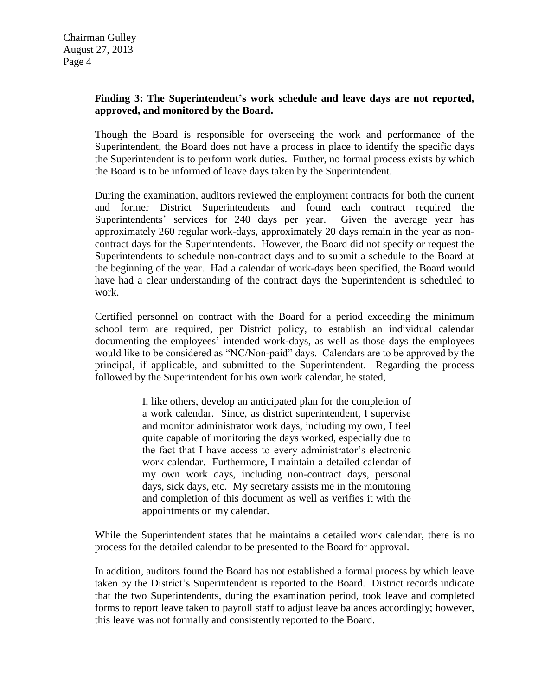### **Finding 3: The Superintendent's work schedule and leave days are not reported, approved, and monitored by the Board.**

Though the Board is responsible for overseeing the work and performance of the Superintendent, the Board does not have a process in place to identify the specific days the Superintendent is to perform work duties. Further, no formal process exists by which the Board is to be informed of leave days taken by the Superintendent.

During the examination, auditors reviewed the employment contracts for both the current and former District Superintendents and found each contract required the Superintendents' services for 240 days per year. Given the average year has approximately 260 regular work-days, approximately 20 days remain in the year as noncontract days for the Superintendents. However, the Board did not specify or request the Superintendents to schedule non-contract days and to submit a schedule to the Board at the beginning of the year. Had a calendar of work-days been specified, the Board would have had a clear understanding of the contract days the Superintendent is scheduled to work.

Certified personnel on contract with the Board for a period exceeding the minimum school term are required, per District policy, to establish an individual calendar documenting the employees' intended work-days, as well as those days the employees would like to be considered as "NC/Non-paid" days. Calendars are to be approved by the principal, if applicable, and submitted to the Superintendent. Regarding the process followed by the Superintendent for his own work calendar, he stated,

> I, like others, develop an anticipated plan for the completion of a work calendar. Since, as district superintendent, I supervise and monitor administrator work days, including my own, I feel quite capable of monitoring the days worked, especially due to the fact that I have access to every administrator's electronic work calendar. Furthermore, I maintain a detailed calendar of my own work days, including non-contract days, personal days, sick days, etc. My secretary assists me in the monitoring and completion of this document as well as verifies it with the appointments on my calendar.

While the Superintendent states that he maintains a detailed work calendar, there is no process for the detailed calendar to be presented to the Board for approval.

In addition, auditors found the Board has not established a formal process by which leave taken by the District's Superintendent is reported to the Board. District records indicate that the two Superintendents, during the examination period, took leave and completed forms to report leave taken to payroll staff to adjust leave balances accordingly; however, this leave was not formally and consistently reported to the Board.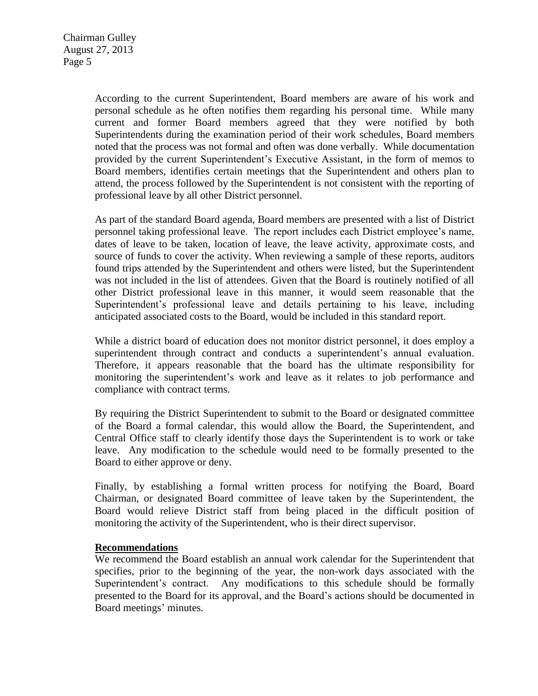According to the current Superintendent, Board members are aware of his work and personal schedule as he often notifies them regarding his personal time. While many current and former Board members agreed that they were notified by both Superintendents during the examination period of their work schedules, Board members noted that the process was not formal and often was done verbally. While documentation provided by the current Superintendent's Executive Assistant, in the form of memos to Board members, identifies certain meetings that the Superintendent and others plan to attend, the process followed by the Superintendent is not consistent with the reporting of professional leave by all other District personnel.

As part of the standard Board agenda, Board members are presented with a list of District personnel taking professional leave. The report includes each District employee's name, dates of leave to be taken, location of leave, the leave activity, approximate costs, and source of funds to cover the activity. When reviewing a sample of these reports, auditors found trips attended by the Superintendent and others were listed, but the Superintendent was not included in the list of attendees. Given that the Board is routinely notified of all other District professional leave in this manner, it would seem reasonable that the Superintendent's professional leave and details pertaining to his leave, including anticipated associated costs to the Board, would be included in this standard report.

While a district board of education does not monitor district personnel, it does employ a superintendent through contract and conducts a superintendent's annual evaluation. Therefore, it appears reasonable that the board has the ultimate responsibility for monitoring the superintendent's work and leave as it relates to job performance and compliance with contract terms.

By requiring the District Superintendent to submit to the Board or designated committee of the Board a formal calendar, this would allow the Board, the Superintendent, and Central Office staff to clearly identify those days the Superintendent is to work or take leave. Any modification to the schedule would need to be formally presented to the Board to either approve or deny.

Finally, by establishing a formal written process for notifying the Board, Board Chairman, or designated Board committee of leave taken by the Superintendent, the Board would relieve District staff from being placed in the difficult position of monitoring the activity of the Superintendent, who is their direct supervisor.

#### **Recommendations**

We recommend the Board establish an annual work calendar for the Superintendent that specifies, prior to the beginning of the year, the non-work days associated with the Superintendent's contract. Any modifications to this schedule should be formally presented to the Board for its approval, and the Board's actions should be documented in Board meetings' minutes.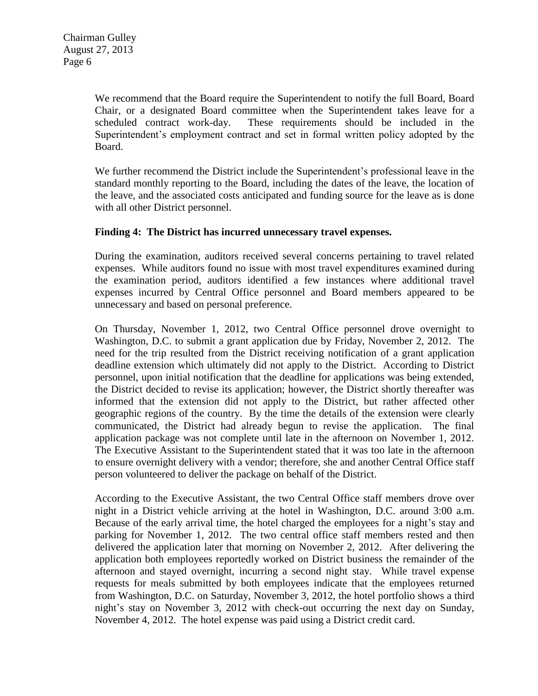We recommend that the Board require the Superintendent to notify the full Board, Board Chair, or a designated Board committee when the Superintendent takes leave for a scheduled contract work-day. These requirements should be included in the Superintendent's employment contract and set in formal written policy adopted by the Board.

We further recommend the District include the Superintendent's professional leave in the standard monthly reporting to the Board, including the dates of the leave, the location of the leave, and the associated costs anticipated and funding source for the leave as is done with all other District personnel.

#### **Finding 4: The District has incurred unnecessary travel expenses.**

During the examination, auditors received several concerns pertaining to travel related expenses. While auditors found no issue with most travel expenditures examined during the examination period, auditors identified a few instances where additional travel expenses incurred by Central Office personnel and Board members appeared to be unnecessary and based on personal preference.

On Thursday, November 1, 2012, two Central Office personnel drove overnight to Washington, D.C. to submit a grant application due by Friday, November 2, 2012. The need for the trip resulted from the District receiving notification of a grant application deadline extension which ultimately did not apply to the District. According to District personnel, upon initial notification that the deadline for applications was being extended, the District decided to revise its application; however, the District shortly thereafter was informed that the extension did not apply to the District, but rather affected other geographic regions of the country. By the time the details of the extension were clearly communicated, the District had already begun to revise the application. The final application package was not complete until late in the afternoon on November 1, 2012. The Executive Assistant to the Superintendent stated that it was too late in the afternoon to ensure overnight delivery with a vendor; therefore, she and another Central Office staff person volunteered to deliver the package on behalf of the District.

According to the Executive Assistant, the two Central Office staff members drove over night in a District vehicle arriving at the hotel in Washington, D.C. around 3:00 a.m. Because of the early arrival time, the hotel charged the employees for a night's stay and parking for November 1, 2012. The two central office staff members rested and then delivered the application later that morning on November 2, 2012. After delivering the application both employees reportedly worked on District business the remainder of the afternoon and stayed overnight, incurring a second night stay. While travel expense requests for meals submitted by both employees indicate that the employees returned from Washington, D.C. on Saturday, November 3, 2012, the hotel portfolio shows a third night's stay on November 3, 2012 with check-out occurring the next day on Sunday, November 4, 2012. The hotel expense was paid using a District credit card.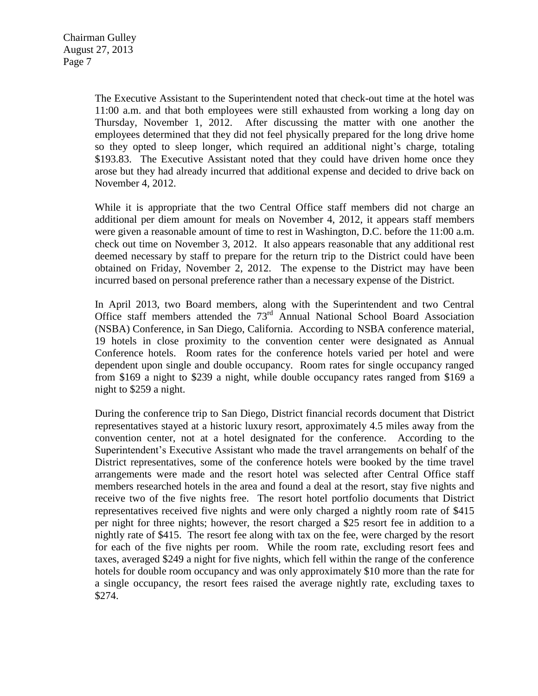The Executive Assistant to the Superintendent noted that check-out time at the hotel was 11:00 a.m. and that both employees were still exhausted from working a long day on Thursday, November 1, 2012. After discussing the matter with one another the employees determined that they did not feel physically prepared for the long drive home so they opted to sleep longer, which required an additional night's charge, totaling \$193.83. The Executive Assistant noted that they could have driven home once they arose but they had already incurred that additional expense and decided to drive back on November 4, 2012.

While it is appropriate that the two Central Office staff members did not charge an additional per diem amount for meals on November 4, 2012, it appears staff members were given a reasonable amount of time to rest in Washington, D.C. before the 11:00 a.m. check out time on November 3, 2012. It also appears reasonable that any additional rest deemed necessary by staff to prepare for the return trip to the District could have been obtained on Friday, November 2, 2012. The expense to the District may have been incurred based on personal preference rather than a necessary expense of the District.

In April 2013, two Board members, along with the Superintendent and two Central Office staff members attended the 73rd Annual National School Board Association (NSBA) Conference, in San Diego, California. According to NSBA conference material, 19 hotels in close proximity to the convention center were designated as Annual Conference hotels. Room rates for the conference hotels varied per hotel and were dependent upon single and double occupancy. Room rates for single occupancy ranged from \$169 a night to \$239 a night, while double occupancy rates ranged from \$169 a night to \$259 a night.

During the conference trip to San Diego, District financial records document that District representatives stayed at a historic luxury resort, approximately 4.5 miles away from the convention center, not at a hotel designated for the conference. According to the Superintendent's Executive Assistant who made the travel arrangements on behalf of the District representatives, some of the conference hotels were booked by the time travel arrangements were made and the resort hotel was selected after Central Office staff members researched hotels in the area and found a deal at the resort, stay five nights and receive two of the five nights free. The resort hotel portfolio documents that District representatives received five nights and were only charged a nightly room rate of \$415 per night for three nights; however, the resort charged a \$25 resort fee in addition to a nightly rate of \$415. The resort fee along with tax on the fee, were charged by the resort for each of the five nights per room. While the room rate, excluding resort fees and taxes, averaged \$249 a night for five nights, which fell within the range of the conference hotels for double room occupancy and was only approximately \$10 more than the rate for a single occupancy, the resort fees raised the average nightly rate, excluding taxes to \$274.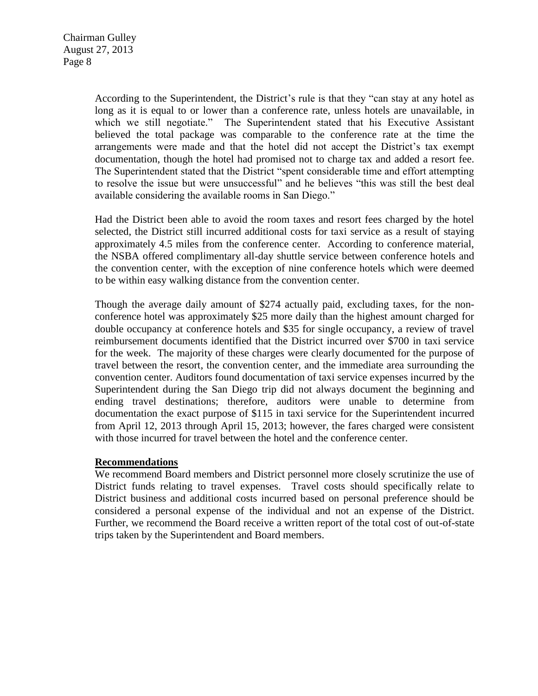According to the Superintendent, the District's rule is that they "can stay at any hotel as long as it is equal to or lower than a conference rate, unless hotels are unavailable, in which we still negotiate." The Superintendent stated that his Executive Assistant believed the total package was comparable to the conference rate at the time the arrangements were made and that the hotel did not accept the District's tax exempt documentation, though the hotel had promised not to charge tax and added a resort fee. The Superintendent stated that the District "spent considerable time and effort attempting to resolve the issue but were unsuccessful" and he believes "this was still the best deal available considering the available rooms in San Diego."

Had the District been able to avoid the room taxes and resort fees charged by the hotel selected, the District still incurred additional costs for taxi service as a result of staying approximately 4.5 miles from the conference center. According to conference material, the NSBA offered complimentary all-day shuttle service between conference hotels and the convention center, with the exception of nine conference hotels which were deemed to be within easy walking distance from the convention center.

Though the average daily amount of \$274 actually paid, excluding taxes, for the nonconference hotel was approximately \$25 more daily than the highest amount charged for double occupancy at conference hotels and \$35 for single occupancy, a review of travel reimbursement documents identified that the District incurred over \$700 in taxi service for the week. The majority of these charges were clearly documented for the purpose of travel between the resort, the convention center, and the immediate area surrounding the convention center. Auditors found documentation of taxi service expenses incurred by the Superintendent during the San Diego trip did not always document the beginning and ending travel destinations; therefore, auditors were unable to determine from documentation the exact purpose of \$115 in taxi service for the Superintendent incurred from April 12, 2013 through April 15, 2013; however, the fares charged were consistent with those incurred for travel between the hotel and the conference center.

#### **Recommendations**

We recommend Board members and District personnel more closely scrutinize the use of District funds relating to travel expenses. Travel costs should specifically relate to District business and additional costs incurred based on personal preference should be considered a personal expense of the individual and not an expense of the District. Further, we recommend the Board receive a written report of the total cost of out-of-state trips taken by the Superintendent and Board members.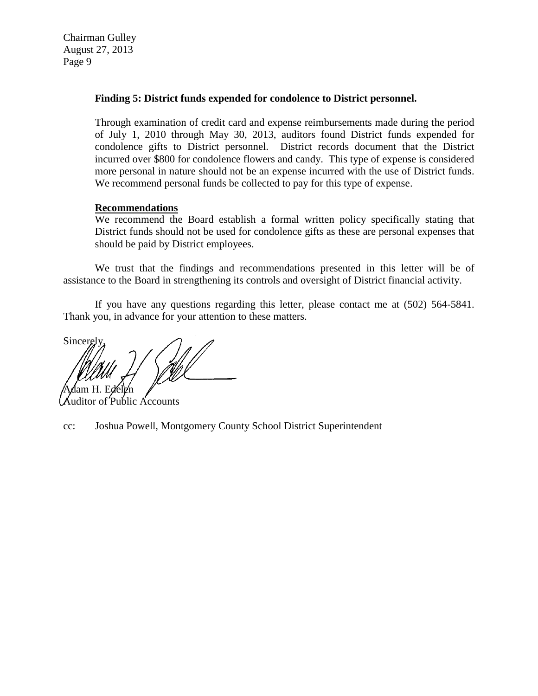#### **Finding 5: District funds expended for condolence to District personnel.**

Through examination of credit card and expense reimbursements made during the period of July 1, 2010 through May 30, 2013, auditors found District funds expended for condolence gifts to District personnel. District records document that the District incurred over \$800 for condolence flowers and candy. This type of expense is considered more personal in nature should not be an expense incurred with the use of District funds. We recommend personal funds be collected to pay for this type of expense.

#### **Recommendations**

We recommend the Board establish a formal written policy specifically stating that District funds should not be used for condolence gifts as these are personal expenses that should be paid by District employees.

We trust that the findings and recommendations presented in this letter will be of assistance to the Board in strengthening its controls and oversight of District financial activity.

If you have any questions regarding this letter, please contact me at (502) 564-5841. Thank you, in advance for your attention to these matters.

Sincerel 'Adam H. Edele'n

Public Accounts

cc: Joshua Powell, Montgomery County School District Superintendent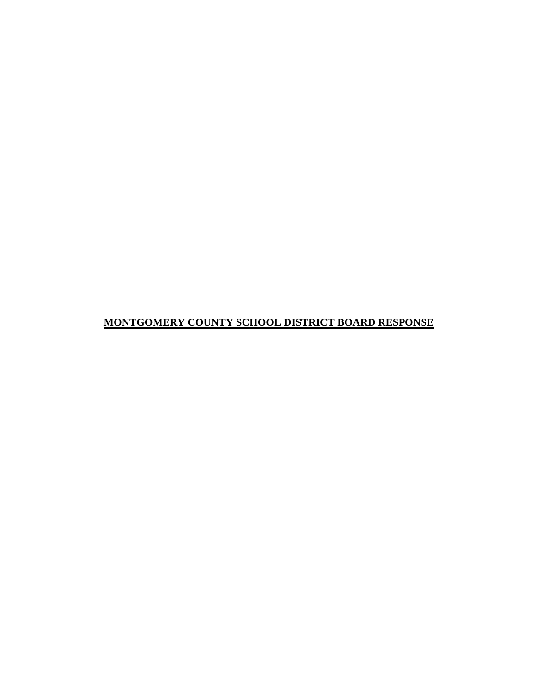# **MONTGOMERY COUNTY SCHOOL DISTRICT BOARD RESPONSE**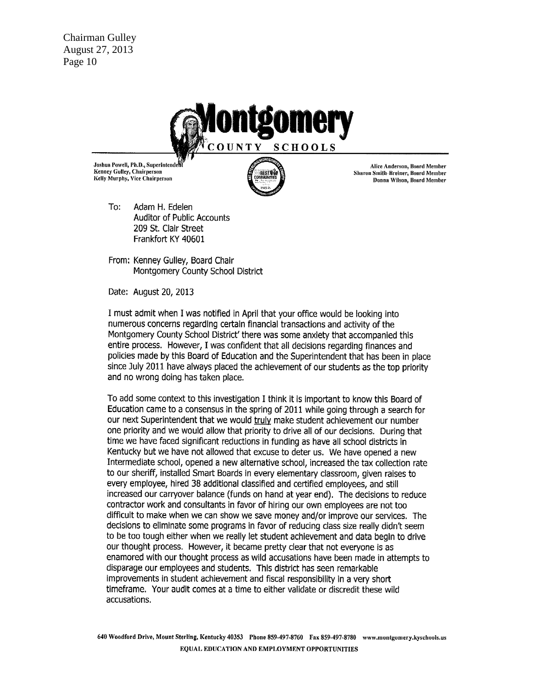**Chairman Gulley** August 27, 2013 Page 10



Joshua Powell, Ph.D., Superintend Kenney Gulley, Chairperson Kelly Murphy, Vice Chairperson

Alice Anderson, Board Member Sharon Smith-Breiner, Board Member Donna Wilson, Board Member

To: Adam H. Edelen Auditor of Public Accounts 209 St. Clair Street Frankfort KY 40601

From: Kenney Gulley, Board Chair Montgomery County School District

Date: August 20, 2013

I must admit when I was notified in April that your office would be looking into numerous concerns regarding certain financial transactions and activity of the Montgomery County School District' there was some anxiety that accompanied this entire process. However, I was confident that all decisions regarding finances and policies made by this Board of Education and the Superintendent that has been in place since July 2011 have always placed the achievement of our students as the top priority and no wrong doing has taken place.

To add some context to this investigation I think it is important to know this Board of Education came to a consensus in the spring of 2011 while going through a search for our next Superintendent that we would truly make student achievement our number one priority and we would allow that priority to drive all of our decisions. During that time we have faced significant reductions in funding as have all school districts in Kentucky but we have not allowed that excuse to deter us. We have opened a new Intermediate school, opened a new alternative school, increased the tax collection rate to our sheriff, installed Smart Boards in every elementary classroom, given raises to every employee, hired 38 additional classified and certified employees, and still increased our carryover balance (funds on hand at year end). The decisions to reduce contractor work and consultants in favor of hiring our own employees are not too difficult to make when we can show we save money and/or improve our services. The decisions to eliminate some programs in favor of reducing class size really didn't seem to be too tough either when we really let student achievement and data begin to drive our thought process. However, it became pretty clear that not everyone is as enamored with our thought process as wild accusations have been made in attempts to disparage our employees and students. This district has seen remarkable improvements in student achievement and fiscal responsibility in a very short timeframe. Your audit comes at a time to either validate or discredit these wild accusations.